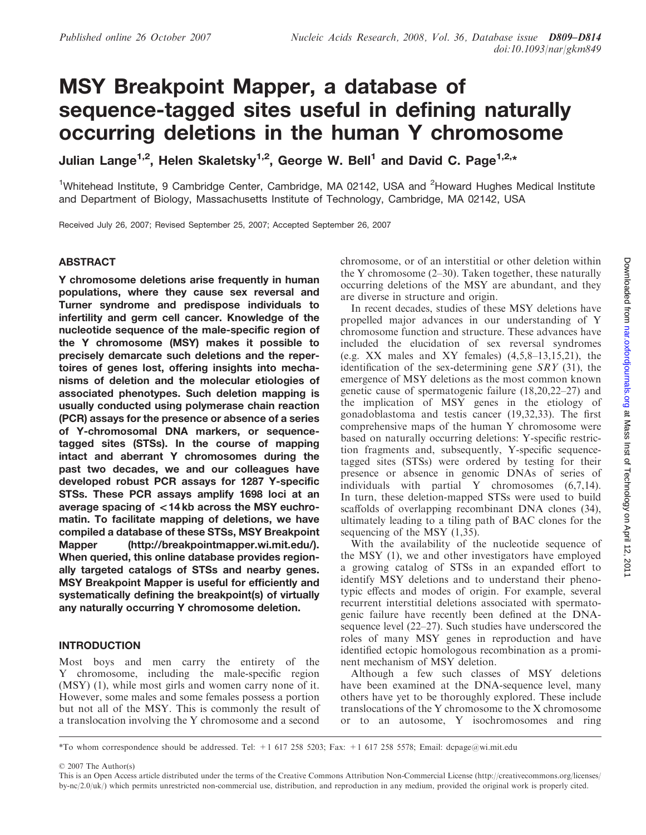# MSY Breakpoint Mapper, a database of sequence-tagged sites useful in defining naturally occurring deletions in the human Y chromosome

Julian Lange<sup>1,2</sup>, Helen Skaletsky<sup>1,2</sup>, George W. Bell<sup>1</sup> and David C. Page<sup>1,2,\*</sup>

<sup>1</sup>Whitehead Institute, 9 Cambridge Center, Cambridge, MA 02142, USA and <sup>2</sup>Howard Hughes Medical Institute and Department of Biology, Massachusetts Institute of Technology, Cambridge, MA 02142, USA

Received July 26, 2007; Revised September 25, 2007; Accepted September 26, 2007

# ABSTRACT

Y chromosome deletions arise frequently in human populations, where they cause sex reversal and Turner syndrome and predispose individuals to infertility and germ cell cancer. Knowledge of the nucleotide sequence of the male-specific region of the Y chromosome (MSY) makes it possible to precisely demarcate such deletions and the repertoires of genes lost, offering insights into mechanisms of deletion and the molecular etiologies of associated phenotypes. Such deletion mapping is usually conducted using polymerase chain reaction (PCR) assays for the presence or absence of a series of Y-chromosomal DNA markers, or sequencetagged sites (STSs). In the course of mapping intact and aberrant Y chromosomes during the past two decades, we and our colleagues have developed robust PCR assays for 1287 Y-specific STSs. These PCR assays amplify 1698 loci at an average spacing of *\_*14 kb across the MSY euchromatin. To facilitate mapping of deletions, we have compiled a database of these STSs, MSY Breakpoint Mapper [\(http://breakpointmapper.wi.mit.edu](http://breakpointmapper.wi.mit.edu/)/). When queried, this online database provides regionally targeted catalogs of STSs and nearby genes. MSY Breakpoint Mapper is useful for efficiently and systematically defining the breakpoint(s) of virtually any naturally occurring Y chromosome deletion.

# INTRODUCTION

Most boys and men carry the entirety of the Y chromosome, including the male-specific region (MSY) (1), while most girls and women carry none of it. However, some males and some females possess a portion but not all of the MSY. This is commonly the result of a translocation involving the Y chromosome and a second chromosome, or of an interstitial or other deletion within the Y chromosome  $(2-30)$ . Taken together, these naturally occurring deletions of the MSY are abundant, and they are diverse in structure and origin.

In recent decades, studies of these MSY deletions have propelled major advances in our understanding of Y chromosome function and structure. These advances have included the elucidation of sex reversal syndromes (e.g. XX males and XY females)  $(4,5,8-13,15,21)$ , the identification of the sex-determining gene  $SRY$  (31), the emergence of MSY deletions as the most common known genetic cause of spermatogenic failure (18,20,22–27) and the implication of MSY genes in the etiology of gonadoblastoma and testis cancer (19,32,33). The first comprehensive maps of the human Y chromosome were based on naturally occurring deletions: Y-specific restriction fragments and, subsequently, Y-specific sequencetagged sites (STSs) were ordered by testing for their presence or absence in genomic DNAs of series of individuals with partial Y chromosomes (6,7,14). In turn, these deletion-mapped STSs were used to build scaffolds of overlapping recombinant DNA clones (34), ultimately leading to a tiling path of BAC clones for the sequencing of the MSY (1,35).

With the availability of the nucleotide sequence of the MSY (1), we and other investigators have employed a growing catalog of STSs in an expanded effort to identify MSY deletions and to understand their phenotypic effects and modes of origin. For example, several recurrent interstitial deletions associated with spermatogenic failure have recently been defined at the DNAsequence level (22–27). Such studies have underscored the roles of many MSY genes in reproduction and have identified ectopic homologous recombination as a prominent mechanism of MSY deletion.

Although a few such classes of MSY deletions have been examined at the DNA-sequence level, many others have yet to be thoroughly explored. These include translocations of the Y chromosome to the X chromosome or to an autosome, Y isochromosomes and ring

2007 The Author(s)

<sup>\*</sup>To whom correspondence should be addressed. Tel: +1 617 258 5203; Fax: +1 617 258 5578; Email: dcpage@wi.mit.edu

This is an Open Access article distributed under the terms of the Creative Commons Attribution Non-Commercial License (<http://creativecommons.org/licenses/> by-nc/2.0/uk/) which permits unrestricted non-commercial use, distribution, and reproduction in any medium, provided the original work is properly cited.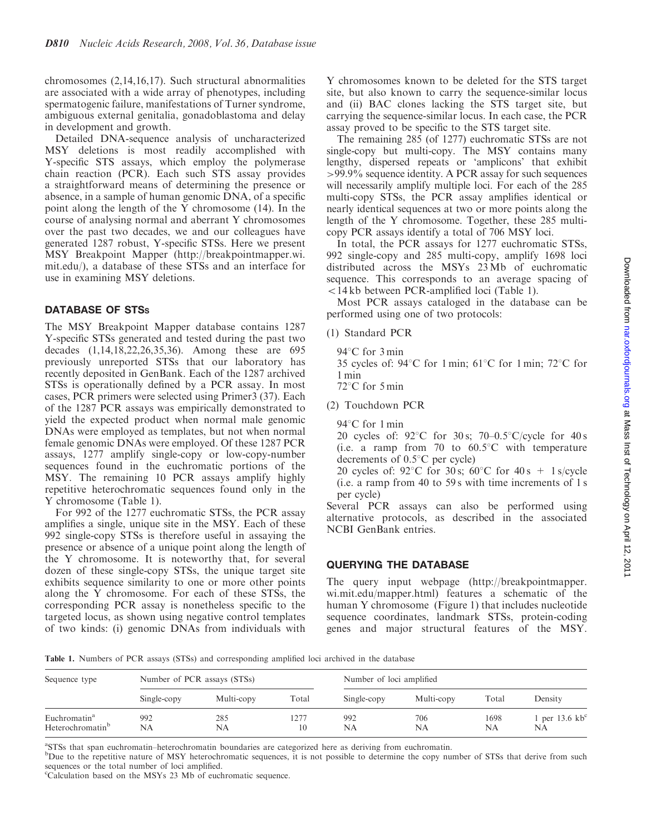chromosomes (2,14,16,17). Such structural abnormalities are associated with a wide array of phenotypes, including spermatogenic failure, manifestations of Turner syndrome, ambiguous external genitalia, gonadoblastoma and delay in development and growth.

Detailed DNA-sequence analysis of uncharacterized MSY deletions is most readily accomplished with Y-specific STS assays, which employ the polymerase chain reaction (PCR). Each such STS assay provides a straightforward means of determining the presence or absence, in a sample of human genomic DNA, of a specific point along the length of the Y chromosome (14). In the course of analysing normal and aberrant Y chromosomes over the past two decades, we and our colleagues have generated 1287 robust, Y-specific STSs. Here we present MSY Breakpoint Mapper [\(http://breakpointmapper.wi.](http://breakpointmapper.wi) mit.edu/), a database of these STSs and an interface for use in examining MSY deletions.

# DATABASE OF STSs

The MSY Breakpoint Mapper database contains 1287 Y-specific STSs generated and tested during the past two decades (1,14,18,22,26,35,36). Among these are 695 previously unreported STSs that our laboratory has recently deposited in GenBank. Each of the 1287 archived STSs is operationally defined by a PCR assay. In most cases, PCR primers were selected using Primer3 (37). Each of the 1287 PCR assays was empirically demonstrated to yield the expected product when normal male genomic DNAs were employed as templates, but not when normal female genomic DNAs were employed. Of these 1287 PCR assays, 1277 amplify single-copy or low-copy-number sequences found in the euchromatic portions of the MSY. The remaining 10 PCR assays amplify highly repetitive heterochromatic sequences found only in the Y chromosome (Table 1).

For 992 of the 1277 euchromatic STSs, the PCR assay amplifies a single, unique site in the MSY. Each of these 992 single-copy STSs is therefore useful in assaying the presence or absence of a unique point along the length of the Y chromosome. It is noteworthy that, for several dozen of these single-copy STSs, the unique target site exhibits sequence similarity to one or more other points along the Y chromosome. For each of these STSs, the corresponding PCR assay is nonetheless specific to the targeted locus, as shown using negative control templates of two kinds: (i) genomic DNAs from individuals with

Y chromosomes known to be deleted for the STS target site, but also known to carry the sequence-similar locus and (ii) BAC clones lacking the STS target site, but carrying the sequence-similar locus. In each case, the PCR assay proved to be specific to the STS target site.

The remaining 285 (of 1277) euchromatic STSs are not single-copy but multi-copy. The MSY contains many lengthy, dispersed repeats or 'amplicons' that exhibit *>*99.9% sequence identity. A PCR assay for such sequences will necessarily amplify multiple loci. For each of the 285 multi-copy STSs, the PCR assay amplifies identical or nearly identical sequences at two or more points along the length of the Y chromosome. Together, these 285 multicopy PCR assays identify a total of 706 MSY loci.

In total, the PCR assays for 1277 euchromatic STSs, 992 single-copy and 285 multi-copy, amplify 1698 loci distributed across the MSYs 23 Mb of euchromatic sequence. This corresponds to an average spacing of  $514$  kb between PCR-amplified loci (Table 1).

Most PCR assays cataloged in the database can be performed using one of two protocols:

- (1) Standard PCR
	- $94^{\circ}$ C for 3 min
	- 35 cycles of:  $94^{\circ}$ C for 1 min; 61°C for 1 min; 72°C for 1 min
	- $72^{\circ}$ C for 5 min
- (2) Touchdown PCR

 $94^{\circ}$ C for 1 min

20 cycles of:  $92^{\circ}$ C for 30 s;  $70-0.5^{\circ}$ C/cycle for 40 s (i.e. a ramp from 70 to  $60.5^{\circ}$ C with temperature decrements of  $0.5^{\circ}$ C per cycle)

20 cycles of:  $92^{\circ}$ C for 30 s;  $60^{\circ}$ C for  $40 \text{ s } + 1 \text{ s/cycle}$ (i.e. a ramp from 40 to 59 s with time increments of 1 s per cycle)

Several PCR assays can also be performed using alternative protocols, as described in the associated NCBI GenBank entries.

### QUERYING THE DATABASE

The query input webpage ([http://breakpointmapper.](http://breakpointmapper) wi.mit.edu/mapper.html) features a schematic of the human Y chromosome (Figure 1) that includes nucleotide sequence coordinates, landmark STSs, protein-coding genes and major structural features of the MSY.

Table 1. Numbers of PCR assays (STSs) and corresponding amplified loci archived in the database

| Sequence type                                            | Number of PCR assays (STSs) |            |            | Number of loci amplified |            |            |                                |  |
|----------------------------------------------------------|-----------------------------|------------|------------|--------------------------|------------|------------|--------------------------------|--|
|                                                          | Single-copy                 | Multi-copy | Total      | Single-copy              | Multi-copy | Total      | Densitv                        |  |
| Euchromatin <sup>a</sup><br>Heterochromatin <sup>b</sup> | 992<br>NA                   | 285<br>NA  | 1277<br>10 | 992<br>NA                | 706<br>NA  | 1698<br>NA | 1 per 13.6 $kb^c$<br><b>NA</b> |  |

a STSs that span euchromatin–heterochromatin boundaries are categorized here as deriving from euchromatin.

<sup>b</sup>Due to the repetitive nature of MSY heterochromatic sequences, it is not possible to determine the copy number of STSs that derive from such sequences or the total number of loci amplified.

<sup>c</sup>Calculation based on the MSYs 23 Mb of euchromatic sequence.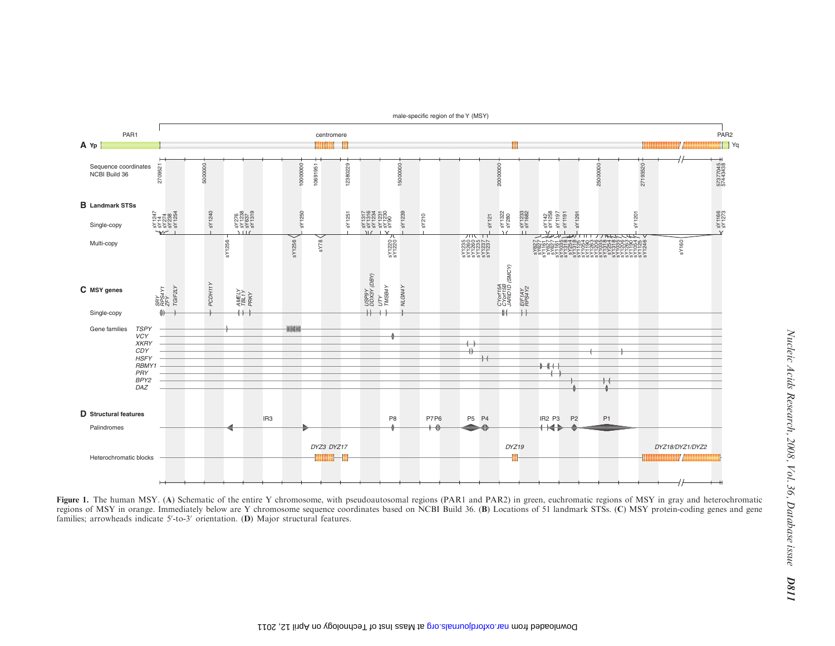

male-specific region of the Y (MSY)

Figure 1. The human MSY. (A) Schematic of the entire Y chromosome, with pseudoautosomal regions (PAR1 and PAR2) in green, euchromatic regions of MSY in gray and heterochromatic regions of MSY in orange. Immediately below are Y chromosome sequence coordinates based on NCBI Build 36. (B) Locations of 51 landmark STSs. (C) MSY protein-coding genes and gene families; arrowheads indicate  $5'$ -to-3' orientation. (D) Major structural features.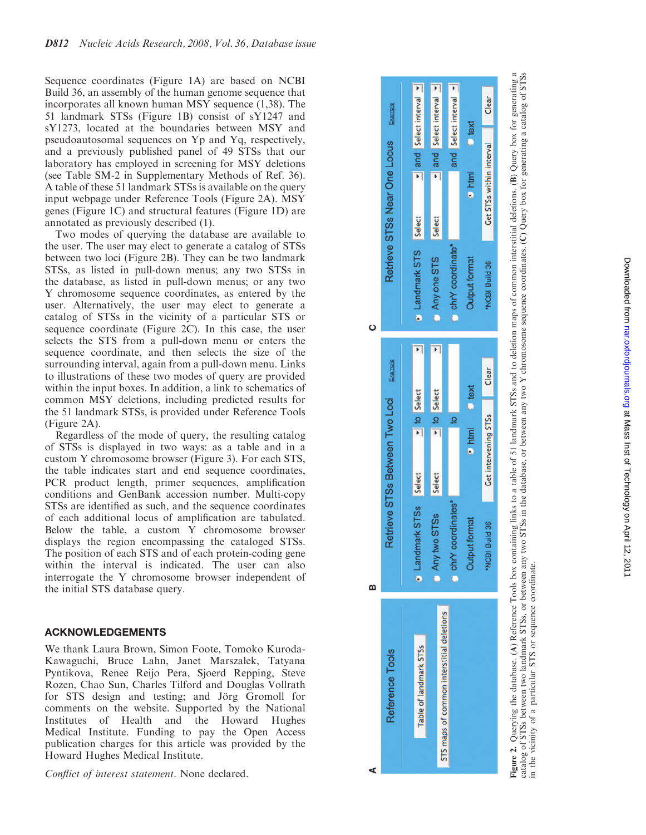Sequence coordinates (Figure 1A) are based on NCBI Build 36, an assembly of the human genome sequence that incorporates all known human MSY sequence (1,38). The 51 landmark STSs (Figure 1B) consist of sY1247 and sY1273, located at the boundaries between MSY and pseudoautosomal sequences on Yp and Yq, respectively, and a previously published panel of 49 STSs that our laboratory has employed in screening for MSY deletions (see Table SM-2 in Supplementary Methods of Ref. 36). A table of these 51 landmark STSs is available on the query input webpage under Reference Tools (Figure 2A). MSY genes (Figure 1C) and structural features (Figure 1D) are annotated as previously described (1).

Two modes of querying the database are available to the user. The user may elect to generate a catalog of STSs between two loci (Figure 2B). They can be two landmark STSs, as listed in pull-down menus; any two STSs in the database, as listed in pull-down menus; or any two Y chromosome sequence coordinates, as entered by the user. Alternatively, the user may elect to generate a catalog of STSs in the vicinity of a particular STS or sequence coordinate (Figure 2C). In this case, the user selects the STS from a pull-down menu or enters the sequence coordinate, and then selects the size of the surrounding interval, again from a pull-down menu. Links to illustrations of these two modes of query are provided within the input boxes. In addition, a link to schematics of common MSY deletions, including predicted results for the 51 landmark STSs, is provided under Reference Tools (Figure 2A).

Regardless of the mode of query, the resulting catalog of STSs is displayed in two ways: as a table and in a custom Y chromosome browser (Figure 3). For each STS, the table indicates start and end sequence coordinates, PCR product length, primer sequences, amplification conditions and GenBank accession number. Multi-copy STSs are identified as such, and the sequence coordinates of each additional locus of amplification are tabulated. Below the table, a custom Y chromosome browser displays the region encompassing the cataloged STSs. The position of each STS and of each protein-coding gene within the interval is indicated. The user can also interrogate the Y chromosome browser independent of the initial STS database query.

## ACKNOWLEDGEMENTS

We thank Laura Brown, Simon Foote, Tomoko Kuroda-Kawaguchi, Bruce Lahn, Janet Marszalek, Tatyana Pyntikova, Renee Reijo Pera, Sjoerd Repping, Steve Rozen, Chao Sun, Charles Tilford and Douglas Vollrath for STS design and testing; and Jörg Gromoll for comments on the website. Supported by the National Institutes of Health and the Howard Hughes Medical Institute. Funding to pay the Open Access publication charges for this article was provided by the Howard Hughes Medical Institute.

Conflict of interest statement. None declared.



**Figure 2.** Querying the database. (A) Reference Tools box containing links to a table of 51 landmark STSs and to deletion maps of common interstitial deletions. (B) Query box for generating a<br>catalog of STSs between two l Figure 2. Querying the database. (A) Reference Tools box containing links to a table of 51 landmark STSs and to deletion maps of common interstitial deletions. (B) Query box for generating a catalog of STSs between two landmark STSs, or between any two STSs in the database, or between any two Y chromosome sequence coordinates. (C) Query box for generating a catalog of STSs in the vicinity of a particular STS or sequence coordinate.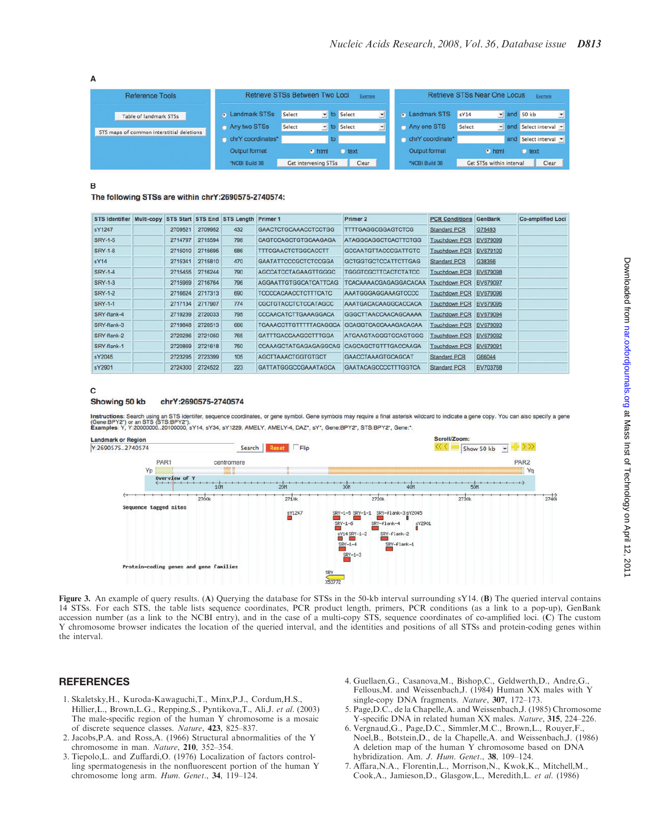A

| <b>Reference Tools</b>                    | Retrieve STSs Between Two Loci<br>Example |        |                             |           | <b>Retrieve STSs Near One Locus</b><br>Example |                       |        |                          |                     |              |
|-------------------------------------------|-------------------------------------------|--------|-----------------------------|-----------|------------------------------------------------|-----------------------|--------|--------------------------|---------------------|--------------|
| Table of landmark STSs                    | <b>E</b> Landmark STSs                    | Select | lo Select                   |           | 긔                                              | <b>E</b> Landmark STS | sY14   | $\frac{1}{2}$ and 50 kb  |                     | $\mathbf{r}$ |
| STS maps of common interstitial deletions | Any two STSs                              | Select | * to Select                 |           | ≛                                              | Any one STS           | Select |                          | and Select interval |              |
|                                           | chrY coordinates*                         |        |                             |           |                                                | chrY coordinate*      |        |                          | and Select interval |              |
|                                           | Output format                             |        | $\bullet$ html              | text<br>о |                                                | Output format         |        | $\bullet$ html           | <b>C</b> text       |              |
|                                           | *NCBI Build 36                            |        | <b>Get intervening STSs</b> | Clear     |                                                | *NCBI Build 36        |        | Get STSs within interval | Clear               |              |

 $\mathbf{R}$ 

The following STSs are within chrY:2690575-2740574:

| <b>STS Identifier</b> |         |         | Multi-copy STS Start STS End STS Length Primer 1 |                               | Primer 2                    | <b>PCR Conditions</b> | <b>GenBank</b> | <b>Co-amplified Loci</b> |
|-----------------------|---------|---------|--------------------------------------------------|-------------------------------|-----------------------------|-----------------------|----------------|--------------------------|
| sY1247                | 2709521 | 2709952 | 432                                              | <b>GAACTCTGCAAACCTCCTGG</b>   | <b>TTTTGAGGCGGAGTCTCG</b>   | <b>Standard PCR</b>   | G75493         |                          |
| <b>SRY-1-5</b>        | 2714797 | 2715594 | 798                                              | CAGTCCAGCTGTGCAAGAGA          | ATAGGCAGGCTCACTTCTGG        | <b>Touchdown PCR</b>  | BV679099       |                          |
| <b>SRY-1-6</b>        | 2715010 | 2715695 | 686                                              | <b>TTTCGAACTCTGGCACCTT</b>    | <b>GCCAATGTTACCCGATTGTC</b> | <b>Touchdown PCR</b>  | BV679100       |                          |
| sY14                  | 2715341 | 2715810 | 470                                              | <b>GAATATTCCCGCTCTCCGGA</b>   | <b>GCTGGTGCTCCATTCTTGAG</b> | <b>Standard PCR</b>   | G38356         |                          |
| <b>SRY-1-4</b>        | 2715455 | 2716244 | 790                                              | <b>AGCCATCCTAGAAGTTGGGC</b>   | TGGGTCGCTTCACTCTATCC        | <b>Touchdown PCR</b>  | BV679098       |                          |
| <b>SRY-1-3</b>        | 2715969 | 2716764 | 796                                              | <b>AGGAATTGTGGCATCATTCAG</b>  | TCACAAAACGAGAGGACACAA       | <b>Touchdown PCR</b>  | BV679097       |                          |
| <b>SRY-1-2</b>        | 2716624 | 2717313 | 690                                              | <b>TCCCCACAACCTCTTTCATC</b>   | AAATGGGAGGAAAGTCCCC         | <b>Touchdown PCR</b>  | BV679096       |                          |
| <b>SRY-1-1</b>        | 2717134 | 2717907 | 774                                              | <b>CGCTGTACCTCTCCATAGCC</b>   | AAATGACACAAGGCACCACA        | <b>Touchdown PCR</b>  | BV679095       |                          |
| SRY-flank-4           | 2719239 | 2720033 | 795                                              | CCCAACATCTTGAAAGGACA          | GGGCTTAACCAACAGCAAAA        | <b>Touchdown PCR</b>  | BV679094       |                          |
| SRY-flank-3           | 2719848 | 2720513 | 666                                              | <b>TGAAACCTTGTTTTTACAGGCA</b> | <b>GCAGGTCACCAAAGACACAA</b> | <b>Touchdown PCR</b>  | BV679093       |                          |
| SRY-flank-2           | 2720286 | 2721050 | 765                                              | <b>GATTTGACCAAGCCTTTGGA</b>   | <b>ATGAAGTAGGGTGCAGTGGG</b> | <b>Touchdown PCR</b>  | BV679092       |                          |
| SRY-flank-1           | 2720869 | 2721618 | 750                                              | <b>CCAAAGCTATGAGAGAGGCAG</b>  | CAGCAGCTGTTTGACCAAGA        | <b>Touchdown PCR</b>  | BV679091       |                          |
| sY2045                | 2723295 | 2723399 | 105                                              | <b>AGCTTAAACTGGTGTGCT</b>     | <b>GAACCTAAAGTGCAGCAT</b>   | <b>Standard PCR</b>   | G66044         |                          |
| sY2901                | 2724300 | 2724522 | 223                                              | GATTATGGGCCGAAATAGCA          | <b>GAATACAGCCCCTTTGGTCA</b> | <b>Standard PCR</b>   | BV703768       |                          |

#### $\mathbf c$

#### Showing 50 kb chrY:2690575-2740574

Instructions: Search using an STS identifer, sequence coordinates, or gene symbol. Gene symbols may require a final asterisk wildcard to indicate a gene copy. You can also specify a gene<br>(Gene:BPY2") or an STS (STS:BPY2").



Figure 3. An example of query results. (A) Querying the database for STSs in the 50-kb interval surrounding sY14. (B) The queried interval contains 14 STSs. For each STS, the table lists sequence coordinates, PCR product length, primers, PCR conditions (as a link to a pop-up), GenBank accession number (as a link to the NCBI entry), and in the case of a multi-copy STS, sequence coordinates of co-amplified loci. (C) The custom Y chromosome browser indicates the location of the queried interval, and the identities and positions of all STSs and protein-coding genes within the interval.

#### **REFERENCES**

- 1. Skaletsky,H., Kuroda-Kawaguchi,T., Minx,P.J., Cordum,H.S., Hillier,L., Brown,L.G., Repping,S., Pyntikova,T., Ali,J. et al. (2003) The male-specific region of the human Y chromosome is a mosaic of discrete sequence classes. Nature, 423, 825–837.
- 2. Jacobs,P.A. and Ross,A. (1966) Structural abnormalities of the Y chromosome in man. Nature, 210, 352–354.
- 3. Tiepolo,L. and Zuffardi,O. (1976) Localization of factors controlling spermatogenesis in the nonfluorescent portion of the human Y chromosome long arm. Hum. Genet., 34, 119–124.
- 4. Guellaen,G., Casanova,M., Bishop,C., Geldwerth,D., Andre,G., Fellous,M. and Weissenbach,J. (1984) Human XX males with Y single-copy DNA fragments. Nature, 307, 172-173.
- 5. Page,D.C., de la Chapelle,A. and Weissenbach,J. (1985) Chromosome Y-specific DNA in related human XX males. Nature, 315, 224-226.
- 6. Vergnaud,G., Page,D.C., Simmler,M.C., Brown,L., Rouyer,F., Noel,B., Botstein,D., de la Chapelle,A. and Weissenbach,J. (1986) A deletion map of the human Y chromosome based on DNA hybridization. Am. J. Hum. Genet., 38, 109-124.
- 7. Affara,N.A., Florentin,L., Morrison,N., Kwok,K., Mitchell,M., Cook,A., Jamieson,D., Glasgow,L., Meredith,L. et al. (1986)